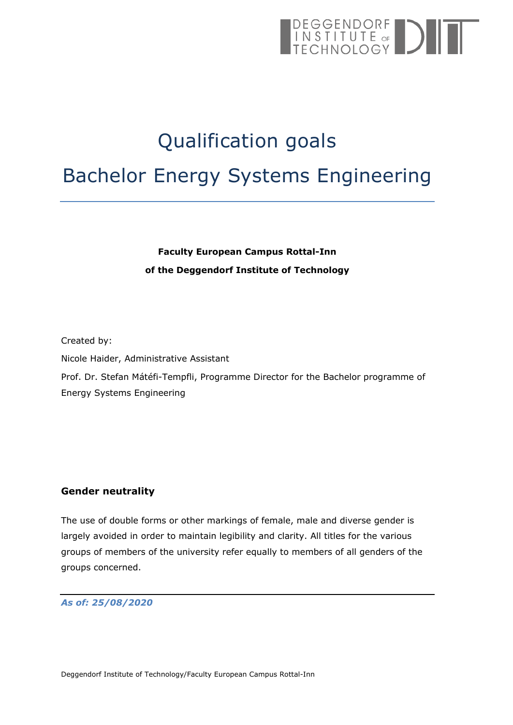# DEGGENDORF<br>INSTITUTE of DIT

# Qualification goals Bachelor Energy Systems Engineering

# **Faculty European Campus Rottal-Inn of the Deggendorf Institute of Technology**

Created by: Nicole Haider, Administrative Assistant Prof. Dr. Stefan Mátéfi-Tempfli, Programme Director for the Bachelor programme of Energy Systems Engineering

#### <span id="page-0-0"></span>**Gender neutrality**

The use of double forms or other markings of female, male and diverse gender is largely avoided in order to maintain legibility and clarity. All titles for the various groups of members of the university refer equally to members of all genders of the groups concerned.

*As of: 25/08/2020*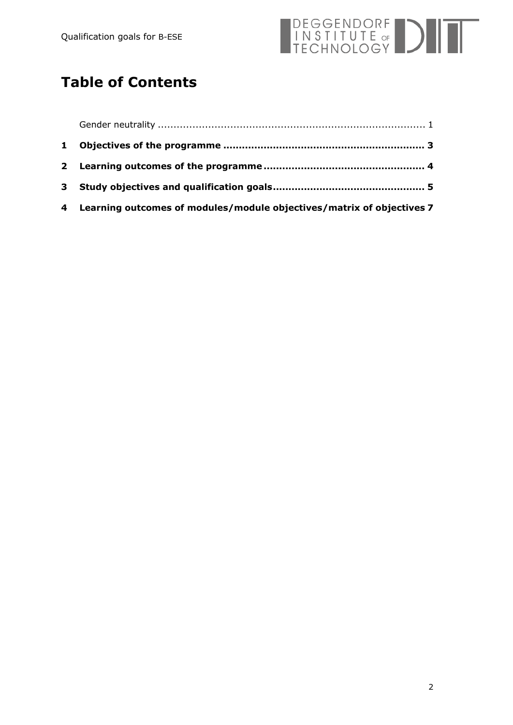

# **Table of Contents**

| 4 Learning outcomes of modules/module objectives/matrix of objectives 7 |  |
|-------------------------------------------------------------------------|--|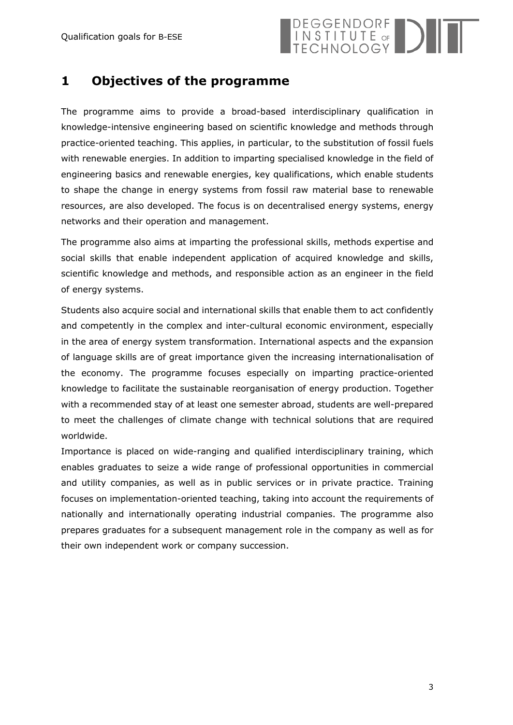

### <span id="page-2-0"></span>**1 Objectives of the programme**

The programme aims to provide a broad-based interdisciplinary qualification in knowledge-intensive engineering based on scientific knowledge and methods through practice-oriented teaching. This applies, in particular, to the substitution of fossil fuels with renewable energies. In addition to imparting specialised knowledge in the field of engineering basics and renewable energies, key qualifications, which enable students to shape the change in energy systems from fossil raw material base to renewable resources, are also developed. The focus is on decentralised energy systems, energy networks and their operation and management.

The programme also aims at imparting the professional skills, methods expertise and social skills that enable independent application of acquired knowledge and skills, scientific knowledge and methods, and responsible action as an engineer in the field of energy systems.

Students also acquire social and international skills that enable them to act confidently and competently in the complex and inter-cultural economic environment, especially in the area of energy system transformation. International aspects and the expansion of language skills are of great importance given the increasing internationalisation of the economy. The programme focuses especially on imparting practice-oriented knowledge to facilitate the sustainable reorganisation of energy production. Together with a recommended stay of at least one semester abroad, students are well-prepared to meet the challenges of climate change with technical solutions that are required worldwide.

Importance is placed on wide-ranging and qualified interdisciplinary training, which enables graduates to seize a wide range of professional opportunities in commercial and utility companies, as well as in public services or in private practice. Training focuses on implementation-oriented teaching, taking into account the requirements of nationally and internationally operating industrial companies. The programme also prepares graduates for a subsequent management role in the company as well as for their own independent work or company succession.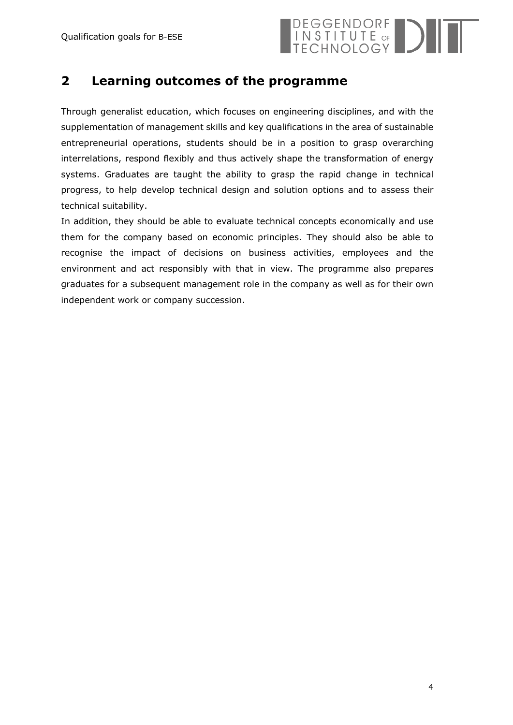

### <span id="page-3-0"></span>**2 Learning outcomes of the programme**

Through generalist education, which focuses on engineering disciplines, and with the supplementation of management skills and key qualifications in the area of sustainable entrepreneurial operations, students should be in a position to grasp overarching interrelations, respond flexibly and thus actively shape the transformation of energy systems. Graduates are taught the ability to grasp the rapid change in technical progress, to help develop technical design and solution options and to assess their technical suitability.

In addition, they should be able to evaluate technical concepts economically and use them for the company based on economic principles. They should also be able to recognise the impact of decisions on business activities, employees and the environment and act responsibly with that in view. The programme also prepares graduates for a subsequent management role in the company as well as for their own independent work or company succession.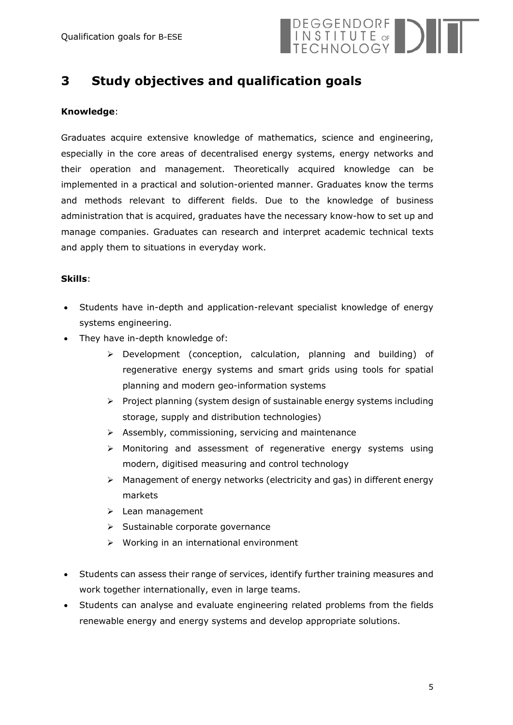

# <span id="page-4-0"></span>**3 Study objectives and qualification goals**

#### **Knowledge**:

Graduates acquire extensive knowledge of mathematics, science and engineering, especially in the core areas of decentralised energy systems, energy networks and their operation and management. Theoretically acquired knowledge can be implemented in a practical and solution-oriented manner. Graduates know the terms and methods relevant to different fields. Due to the knowledge of business administration that is acquired, graduates have the necessary know-how to set up and manage companies. Graduates can research and interpret academic technical texts and apply them to situations in everyday work.

#### **Skills**:

- Students have in-depth and application-relevant specialist knowledge of energy systems engineering.
- They have in-depth knowledge of:
	- Development (conception, calculation, planning and building) of regenerative energy systems and smart grids using tools for spatial planning and modern geo-information systems
	- $\triangleright$  Project planning (system design of sustainable energy systems including storage, supply and distribution technologies)
	- $\triangleright$  Assembly, commissioning, servicing and maintenance
	- Monitoring and assessment of regenerative energy systems using modern, digitised measuring and control technology
	- $\triangleright$  Management of energy networks (electricity and gas) in different energy markets
	- ▶ Lean management
	- $\triangleright$  Sustainable corporate governance
	- $\triangleright$  Working in an international environment
- Students can assess their range of services, identify further training measures and work together internationally, even in large teams.
- Students can analyse and evaluate engineering related problems from the fields renewable energy and energy systems and develop appropriate solutions.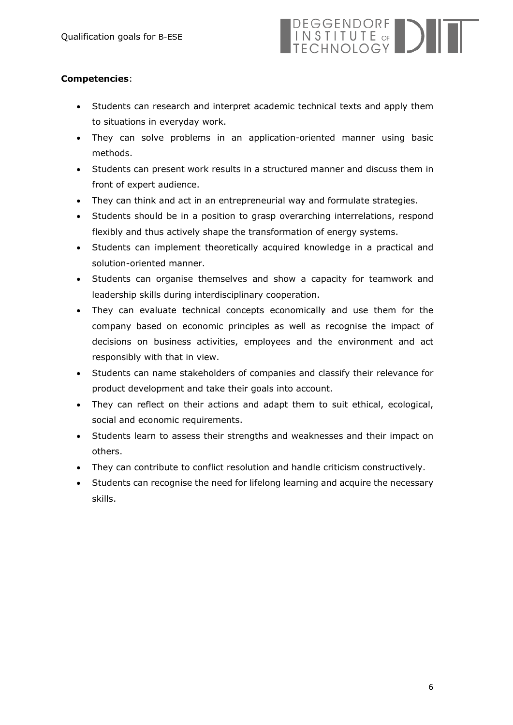# DEGGENDORF<br>INSTITUTE of DIE

#### **Competencies**:

- Students can research and interpret academic technical texts and apply them to situations in everyday work.
- They can solve problems in an application-oriented manner using basic methods.
- Students can present work results in a structured manner and discuss them in front of expert audience.
- They can think and act in an entrepreneurial way and formulate strategies.
- Students should be in a position to grasp overarching interrelations, respond flexibly and thus actively shape the transformation of energy systems.
- Students can implement theoretically acquired knowledge in a practical and solution-oriented manner.
- Students can organise themselves and show a capacity for teamwork and leadership skills during interdisciplinary cooperation.
- They can evaluate technical concepts economically and use them for the company based on economic principles as well as recognise the impact of decisions on business activities, employees and the environment and act responsibly with that in view.
- Students can name stakeholders of companies and classify their relevance for product development and take their goals into account.
- They can reflect on their actions and adapt them to suit ethical, ecological, social and economic requirements.
- Students learn to assess their strengths and weaknesses and their impact on others.
- They can contribute to conflict resolution and handle criticism constructively.
- Students can recognise the need for lifelong learning and acquire the necessary skills.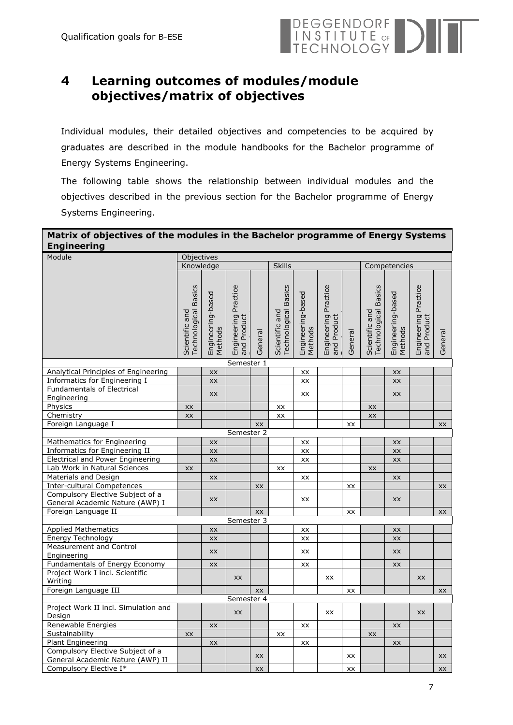

# <span id="page-6-0"></span>**4 Learning outcomes of modules/module objectives/matrix of objectives**

Individual modules, their detailed objectives and competencies to be acquired by graduates are described in the module handbooks for the Bachelor programme of Energy Systems Engineering.

The following table shows the relationship between individual modules and the objectives described in the previous section for the Bachelor programme of Energy Systems Engineering.

#### **Matrix of objectives of the modules in the Bachelor programme of Energy Systems Engineering**

| Module                                                              |                                                  | Objectives<br><b>Skills</b>  |                                          |         |                                               |                              |                                     |         |                                               |                              |                                     |         |
|---------------------------------------------------------------------|--------------------------------------------------|------------------------------|------------------------------------------|---------|-----------------------------------------------|------------------------------|-------------------------------------|---------|-----------------------------------------------|------------------------------|-------------------------------------|---------|
|                                                                     |                                                  | Knowledge                    |                                          |         |                                               |                              |                                     |         | Competencies                                  |                              |                                     |         |
|                                                                     | <b>Basics</b><br>Technological<br>Scientific and | Engineering-based<br>Methods | Practice<br>Engineering F<br>and Product | General | <b>Technological Basics</b><br>Scientific and | Engineering-based<br>Methods | Engineering Practice<br>and Product | General | <b>Technological Basics</b><br>Scientific and | Engineering-based<br>Methods | Engineering Practice<br>and Product | General |
|                                                                     |                                                  |                              | Semester 1                               |         |                                               |                              |                                     |         |                                               |                              |                                     |         |
| Analytical Principles of Engineering                                |                                                  | XX                           |                                          |         |                                               | XX                           |                                     |         |                                               | XX                           |                                     |         |
| Informatics for Engineering I                                       |                                                  | XX                           |                                          |         |                                               | XX                           |                                     |         |                                               | XX                           |                                     |         |
| <b>Fundamentals of Electrical</b>                                   |                                                  | <b>XX</b>                    |                                          |         |                                               | XX                           |                                     |         |                                               | <b>XX</b>                    |                                     |         |
| Engineering                                                         |                                                  |                              |                                          |         |                                               |                              |                                     |         |                                               |                              |                                     |         |
| Physics                                                             | XX                                               |                              |                                          |         | XX                                            |                              |                                     |         | XX                                            |                              |                                     |         |
| Chemistry                                                           | XX                                               |                              |                                          |         | XX                                            |                              |                                     |         | XX                                            |                              |                                     |         |
| Foreign Language I                                                  |                                                  |                              |                                          | XX      |                                               |                              |                                     | XX      |                                               |                              |                                     | XX      |
| Semester 2                                                          |                                                  |                              |                                          |         |                                               |                              |                                     |         |                                               |                              |                                     |         |
| Mathematics for Engineering                                         |                                                  | <b>XX</b>                    |                                          |         |                                               | XX                           |                                     |         |                                               | XX                           |                                     |         |
| Informatics for Engineering II                                      |                                                  | XX                           |                                          |         |                                               | XX                           |                                     |         |                                               | XX                           |                                     |         |
| <b>Electrical and Power Engineering</b>                             |                                                  | XX                           |                                          |         |                                               | XX                           |                                     |         |                                               | XX                           |                                     |         |
| Lab Work in Natural Sciences                                        | XX                                               |                              |                                          |         | XX                                            |                              |                                     |         | XX                                            |                              |                                     |         |
| Materials and Design                                                |                                                  | XX                           |                                          |         |                                               | XX                           |                                     |         |                                               | XX                           |                                     |         |
| <b>Inter-cultural Competences</b>                                   |                                                  |                              |                                          | XX      |                                               |                              |                                     | XX      |                                               |                              |                                     | XX      |
| Compulsory Elective Subject of a<br>General Academic Nature (AWP) I |                                                  | XX                           |                                          |         |                                               | XX                           |                                     |         |                                               | XX                           |                                     |         |
| Foreign Language II                                                 |                                                  |                              |                                          |         |                                               |                              |                                     |         |                                               |                              |                                     |         |
|                                                                     |                                                  |                              | Semester 3                               | XX      |                                               |                              |                                     | XX      |                                               |                              |                                     | XX      |
| <b>Applied Mathematics</b>                                          |                                                  | <b>XX</b>                    |                                          |         |                                               | XX                           |                                     |         |                                               | XX                           |                                     |         |
| Energy Technology                                                   |                                                  | XX                           |                                          |         |                                               | XX                           |                                     |         |                                               | XX                           |                                     |         |
| Measurement and Control                                             |                                                  |                              |                                          |         |                                               |                              |                                     |         |                                               |                              |                                     |         |
| Engineering                                                         |                                                  | <b>XX</b>                    |                                          |         |                                               | XX                           |                                     |         |                                               | <b>XX</b>                    |                                     |         |
| Fundamentals of Energy Economy                                      |                                                  | XX                           |                                          |         |                                               | XX                           |                                     |         |                                               | XX                           |                                     |         |
| Project Work I incl. Scientific                                     |                                                  |                              |                                          |         |                                               |                              | <b>XX</b>                           |         |                                               |                              |                                     |         |
| Writing                                                             |                                                  |                              | XX                                       |         |                                               |                              |                                     |         |                                               |                              | <b>XX</b>                           |         |
| Foreign Language III                                                |                                                  |                              |                                          | XX      |                                               |                              |                                     | XX      |                                               |                              |                                     | XX      |
| Semester 4                                                          |                                                  |                              |                                          |         |                                               |                              |                                     |         |                                               |                              |                                     |         |
| Project Work II incl. Simulation and<br>Design                      |                                                  |                              | <b>XX</b>                                |         |                                               |                              | <b>XX</b>                           |         |                                               |                              | <b>XX</b>                           |         |
| Renewable Energies                                                  |                                                  | XX                           |                                          |         |                                               | XX                           |                                     |         |                                               | XX                           |                                     |         |
| Sustainability                                                      | XX                                               |                              |                                          |         | XX                                            |                              |                                     |         | XX                                            |                              |                                     |         |
| <b>Plant Engineering</b>                                            |                                                  | XX                           |                                          |         |                                               | XX                           |                                     |         |                                               | XX                           |                                     |         |
| Compulsory Elective Subject of a                                    |                                                  |                              |                                          | XX      |                                               |                              |                                     | XX      |                                               |                              |                                     | XX      |
| General Academic Nature (AWP) II                                    |                                                  |                              |                                          |         |                                               |                              |                                     |         |                                               |                              |                                     |         |
| Compulsory Elective I*                                              |                                                  |                              |                                          | XX      |                                               |                              |                                     | XX      |                                               |                              |                                     | XX      |